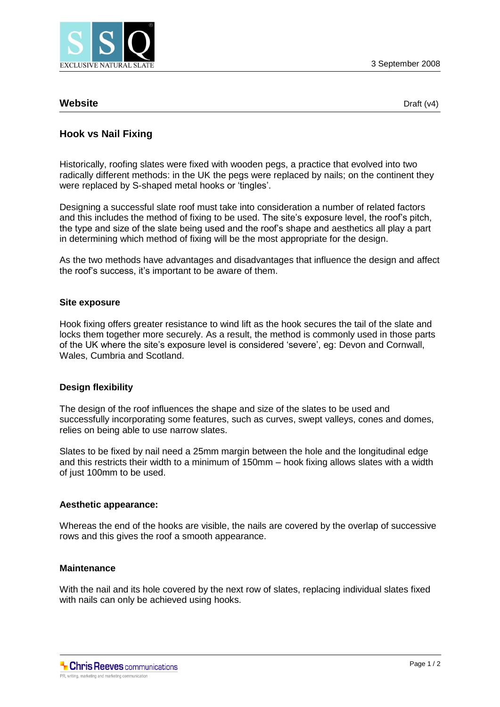

## **Website** Draft (v4)

# **Hook vs Nail Fixing**

Historically, roofing slates were fixed with wooden pegs, a practice that evolved into two radically different methods: in the UK the pegs were replaced by nails; on the continent they were replaced by S-shaped metal hooks or 'tingles'.

Designing a successful slate roof must take into consideration a number of related factors and this includes the method of fixing to be used. The site's exposure level, the roof's pitch, the type and size of the slate being used and the roof's shape and aesthetics all play a part in determining which method of fixing will be the most appropriate for the design.

As the two methods have advantages and disadvantages that influence the design and affect the roof's success, it's important to be aware of them.

#### **Site exposure**

Hook fixing offers greater resistance to wind lift as the hook secures the tail of the slate and locks them together more securely. As a result, the method is commonly used in those parts of the UK where the site's exposure level is considered 'severe', eg: Devon and Cornwall, Wales, Cumbria and Scotland.

#### **Design flexibility**

The design of the roof influences the shape and size of the slates to be used and successfully incorporating some features, such as curves, swept valleys, cones and domes, relies on being able to use narrow slates.

Slates to be fixed by nail need a 25mm margin between the hole and the longitudinal edge and this restricts their width to a minimum of 150mm – hook fixing allows slates with a width of just 100mm to be used.

#### **Aesthetic appearance:**

Whereas the end of the hooks are visible, the nails are covered by the overlap of successive rows and this gives the roof a smooth appearance.

#### **Maintenance**

With the nail and its hole covered by the next row of slates, replacing individual slates fixed with nails can only be achieved using hooks.